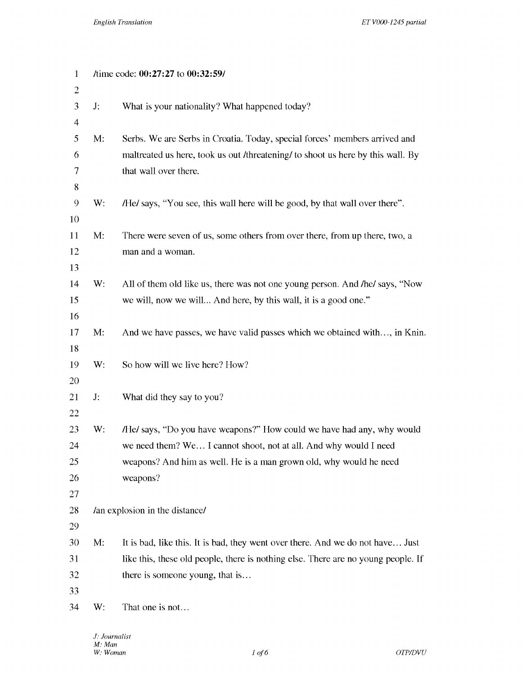| $\mathbf{1}$             | /time code: 00:27:27 to 00:32:59/ |                                                                                   |
|--------------------------|-----------------------------------|-----------------------------------------------------------------------------------|
| $\boldsymbol{2}$         |                                   |                                                                                   |
| $\mathfrak{Z}$           | J:                                | What is your nationality? What happened today?                                    |
| $\overline{\mathcal{A}}$ |                                   |                                                                                   |
| 5                        | M:                                | Serbs. We are Serbs in Croatia. Today, special forces' members arrived and        |
| 6                        |                                   | maltreated us here, took us out /threatening/ to shoot us here by this wall. By   |
| $\tau$                   |                                   | that wall over there.                                                             |
| 8                        |                                   |                                                                                   |
| $\mathcal{Q}$            | W:                                | /He/ says, "You see, this wall here will be good, by that wall over there".       |
| 10                       |                                   |                                                                                   |
| 11                       | M:                                | There were seven of us, some others from over there, from up there, two, a        |
| 12                       |                                   | man and a woman.                                                                  |
| 13                       |                                   |                                                                                   |
| 14                       | W:                                | All of them old like us, there was not one young person. And /he/ says, "Now      |
| 15                       |                                   | we will, now we will And here, by this wall, it is a good one."                   |
| 16                       |                                   |                                                                                   |
| 17                       | M:                                | And we have passes, we have valid passes which we obtained with, in Knin.         |
| 18                       |                                   |                                                                                   |
| 19                       | W:                                | So how will we live here? How?                                                    |
| 20                       |                                   |                                                                                   |
| 21                       | J:                                | What did they say to you?                                                         |
| 22                       |                                   |                                                                                   |
| 23                       | W:                                | /He/ says, "Do you have weapons?" How could we have had any, why would            |
| 24                       |                                   | we need them? We I cannot shoot, not at all. And why would I need                 |
| 25                       |                                   | weapons? And him as well. He is a man grown old, why would he need                |
| 26                       |                                   | weapons?                                                                          |
| 27                       |                                   |                                                                                   |
| 28                       |                                   | /an explosion in the distance/                                                    |
| 29                       |                                   |                                                                                   |
| 30                       | M:                                | It is bad, like this. It is bad, they went over there. And we do not have Just    |
| 31                       |                                   | like this, these old people, there is nothing else. There are no young people. If |
| 32                       |                                   | there is someone young, that is                                                   |
| 33                       |                                   |                                                                                   |
| 34                       | W:                                | That one is not                                                                   |
|                          |                                   |                                                                                   |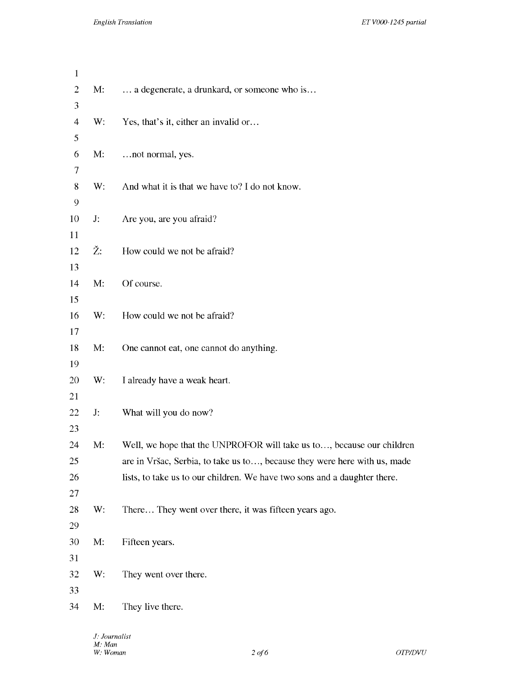| $\mathbf{1}$             |    |                                                                           |
|--------------------------|----|---------------------------------------------------------------------------|
| $\sqrt{2}$               | M: | a degenerate, a drunkard, or someone who is                               |
| $\mathfrak{Z}$           |    |                                                                           |
| $\overline{\mathcal{A}}$ | W: | Yes, that's it, either an invalid or                                      |
| 5                        |    |                                                                           |
| 6                        | M: | not normal, yes.                                                          |
| $\tau$                   |    |                                                                           |
| $8\,$                    | W: | And what it is that we have to? I do not know.                            |
| 9                        |    |                                                                           |
| 10                       | J: | Are you, are you afraid?                                                  |
| 11                       |    |                                                                           |
| 12                       | Ž: | How could we not be afraid?                                               |
| 13                       |    |                                                                           |
| 14                       | M: | Of course.                                                                |
| 15                       |    |                                                                           |
| 16                       | W: | How could we not be afraid?                                               |
| 17                       |    |                                                                           |
| 18                       | M: | One cannot eat, one cannot do anything.                                   |
| 19                       |    |                                                                           |
| 20                       | W: | I already have a weak heart.                                              |
| 21                       |    |                                                                           |
| 22                       | J: | What will you do now?                                                     |
| 23                       |    |                                                                           |
| 24                       | M: | Well, we hope that the UNPROFOR will take us to, because our children     |
| 25                       |    | are in Vršac, Serbia, to take us to, because they were here with us, made |
| 26                       |    | lists, to take us to our children. We have two sons and a daughter there. |
| 27                       |    |                                                                           |
| 28                       | W: | There They went over there, it was fifteen years ago.                     |
| 29                       |    |                                                                           |
| 30                       | M: | Fifteen years.                                                            |
| 31                       |    |                                                                           |
| 32                       | W: | They went over there.                                                     |
| 33                       |    |                                                                           |
| 34                       | M: | They live there.                                                          |
|                          |    |                                                                           |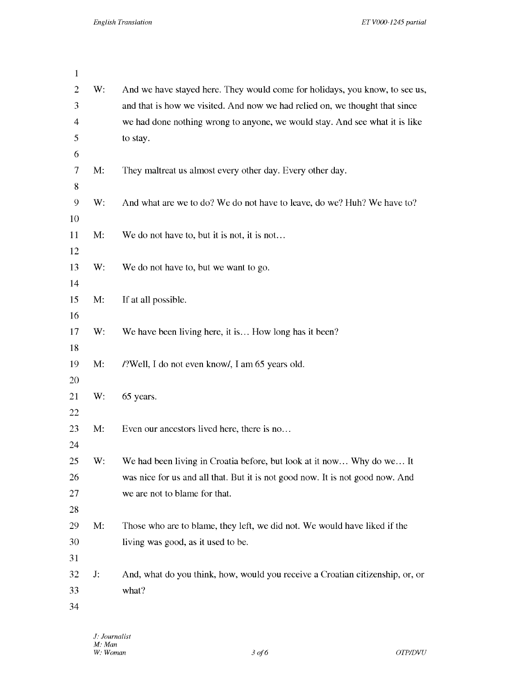| $\mathbf{1}$ |    |                                                                               |
|--------------|----|-------------------------------------------------------------------------------|
| 2            | W: | And we have stayed here. They would come for holidays, you know, to see us,   |
| 3            |    | and that is how we visited. And now we had relied on, we thought that since   |
| 4            |    | we had done nothing wrong to anyone, we would stay. And see what it is like   |
| 5            |    | to stay.                                                                      |
| 6            |    |                                                                               |
| 7            | M: | They maltreat us almost every other day. Every other day.                     |
| 8            |    |                                                                               |
| 9            | W: | And what are we to do? We do not have to leave, do we? Huh? We have to?       |
| 10           |    |                                                                               |
| 11           | M: | We do not have to, but it is not, it is not                                   |
| 12           |    |                                                                               |
| 13           | W: | We do not have to, but we want to go.                                         |
| 14           |    |                                                                               |
| 15           | M: | If at all possible.                                                           |
| 16           |    |                                                                               |
| 17           | W: | We have been living here, it is How long has it been?                         |
| 18           |    |                                                                               |
| 19           | M: | /?Well, I do not even know/, I am 65 years old.                               |
| 20           |    |                                                                               |
| 21           | W: | 65 years.                                                                     |
| 22           |    |                                                                               |
| 23           | M: | Even our ancestors lived here, there is no                                    |
| 24           |    |                                                                               |
| 25           | W: | We had been living in Croatia before, but look at it now Why do we It         |
| 26           |    | was nice for us and all that. But it is not good now. It is not good now. And |
| 27           |    | we are not to blame for that.                                                 |
| 28           |    |                                                                               |
| 29           | M: | Those who are to blame, they left, we did not. We would have liked if the     |
| 30           |    | living was good, as it used to be.                                            |
| 31           |    |                                                                               |
| 32           | J: | And, what do you think, how, would you receive a Croatian citizenship, or, or |
| 33           |    | what?                                                                         |
| 34           |    |                                                                               |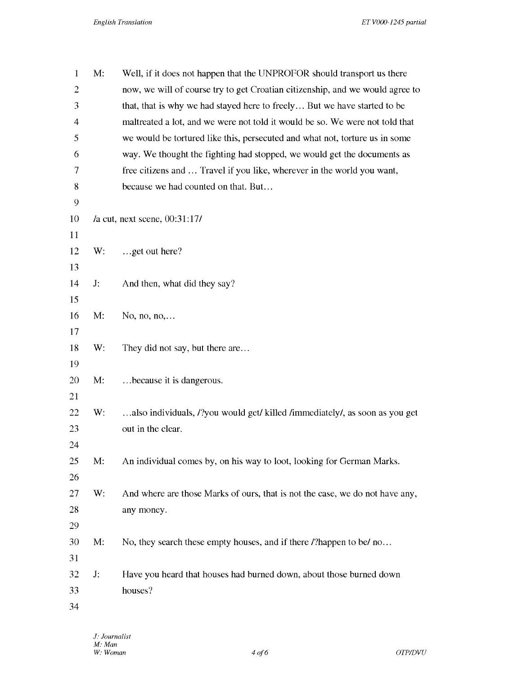| $\mathbf{1}$   | M: | Well, if it does not happen that the UNPROFOR should transport us there       |
|----------------|----|-------------------------------------------------------------------------------|
| $\overline{2}$ |    | now, we will of course try to get Croatian citizenship, and we would agree to |
| 3              |    | that, that is why we had stayed here to freely But we have started to be      |
| 4              |    | maltreated a lot, and we were not told it would be so. We were not told that  |
| 5              |    | we would be tortured like this, persecuted and what not, torture us in some   |
| 6              |    | way. We thought the fighting had stopped, we would get the documents as       |
| 7              |    | free citizens and  Travel if you like, wherever in the world you want,        |
| 8              |    | because we had counted on that. But                                           |
| 9              |    |                                                                               |
| 10             |    | la cut, next scene, 00:31:17l                                                 |
| 11             |    |                                                                               |
| 12             | W: | get out here?                                                                 |
| 13             |    |                                                                               |
| 14             | J: | And then, what did they say?                                                  |
| 15             |    |                                                                               |
| 16             | M: | No, no, $no, \ldots$                                                          |
| 17             |    |                                                                               |
| 18             | W: | They did not say, but there are                                               |
| 19             |    |                                                                               |
| 20             | M: | because it is dangerous.                                                      |
| 21             |    |                                                                               |
| 22             | W: | also individuals, /?you would get/ killed /immediately/, as soon as you get   |
| 23             |    | out in the clear.                                                             |
| 24             |    |                                                                               |
| 25             | M: | An individual comes by, on his way to loot, looking for German Marks.         |
| 26             |    |                                                                               |
| 27             | W: | And where are those Marks of ours, that is not the case, we do not have any,  |
| 28             |    | any money.                                                                    |
| 29             |    |                                                                               |
| 30             | M: | No, they search these empty houses, and if there <i>l</i> ?happen to be/ no   |
| 31             |    |                                                                               |
| 32             | J: | Have you heard that houses had burned down, about those burned down           |
| 33             |    | houses?                                                                       |
| 34             |    |                                                                               |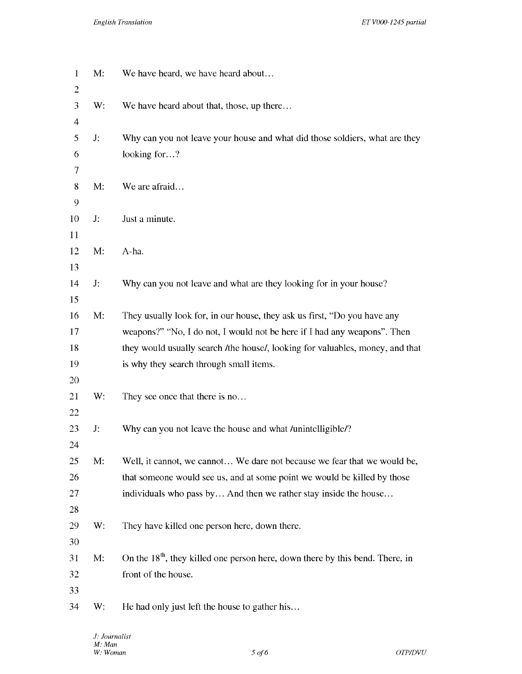| $\mathbf{1}$<br>$\overline{c}$ | M: | We have heard, we have heard about                                              |
|--------------------------------|----|---------------------------------------------------------------------------------|
| 3                              | W: | We have heard about that, those, up there                                       |
| 4                              |    |                                                                                 |
| 5                              | J: | Why can you not leave your house and what did those soldiers, what are they     |
| 6                              |    | looking for?                                                                    |
| 7                              |    |                                                                                 |
| 8                              | M: | We are afraid                                                                   |
| 9                              |    |                                                                                 |
| 10                             | J: | Just a minute.                                                                  |
| 11                             |    |                                                                                 |
| 12                             | M: | A-ha.                                                                           |
| 13                             |    |                                                                                 |
| 14                             | J: | Why can you not leave and what are they looking for in your house?              |
| 15                             |    |                                                                                 |
| 16                             | M: | They usually look for, in our house, they ask us first, "Do you have any        |
| 17                             |    | weapons?" "No, I do not, I would not be here if I had any weapons". Then        |
| 18                             |    | they would usually search /the house/, looking for valuables, money, and that   |
| 19                             |    | is why they search through small items.                                         |
| 20                             |    |                                                                                 |
| 21                             | W: | They see once that there is no                                                  |
| 22                             |    |                                                                                 |
| 23<br>24                       | J: | Why can you not leave the house and what /unintelligible/?                      |
| 25                             | M: | Well, it cannot, we cannot We dare not because we fear that we would be,        |
| 26                             |    | that someone would see us, and at some point we would be killed by those        |
| 27                             |    | individuals who pass by And then we rather stay inside the house                |
| 28                             |    |                                                                                 |
| 29                             | W: | They have killed one person here, down there.                                   |
| 30                             |    |                                                                                 |
| 31                             | M: | On the $18th$ , they killed one person here, down there by this bend. There, in |
| 32                             |    | front of the house.                                                             |
| 33                             |    |                                                                                 |
| 34                             | W: | He had only just left the house to gather his                                   |
|                                |    |                                                                                 |